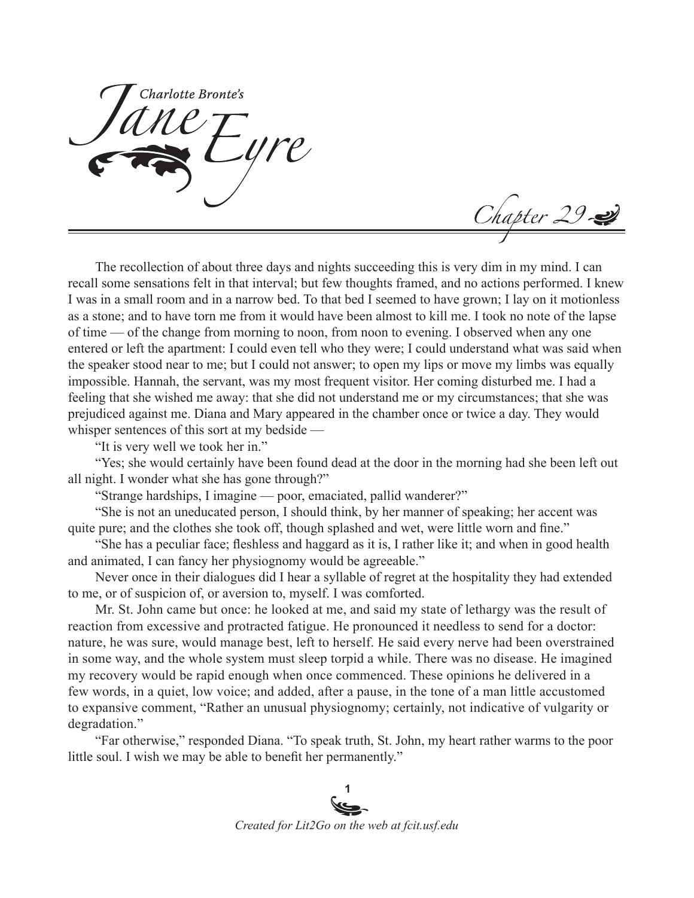Charlotte Bronte's

Chapter 29

The recollection of about three days and nights succeeding this is very dim in my mind. I can recall some sensations felt in that interval; but few thoughts framed, and no actions performed. I knew I was in a small room and in a narrow bed. To that bed I seemed to have grown; I lay on it motionless as a stone; and to have torn me from it would have been almost to kill me. I took no note of the lapse of time — of the change from morning to noon, from noon to evening. I observed when any one entered or left the apartment: I could even tell who they were; I could understand what was said when the speaker stood near to me; but I could not answer; to open my lips or move my limbs was equally impossible. Hannah, the servant, was my most frequent visitor. Her coming disturbed me. I had a feeling that she wished me away: that she did not understand me or my circumstances; that she was prejudiced against me. Diana and Mary appeared in the chamber once or twice a day. They would whisper sentences of this sort at my bedside —

"It is very well we took her in."

"Yes; she would certainly have been found dead at the door in the morning had she been left out all night. I wonder what she has gone through?"

"Strange hardships, I imagine — poor, emaciated, pallid wanderer?"

"She is not an uneducated person, I should think, by her manner of speaking; her accent was quite pure; and the clothes she took off, though splashed and wet, were little worn and fine."

"She has a peculiar face; fleshless and haggard as it is, I rather like it; and when in good health and animated, I can fancy her physiognomy would be agreeable."

Never once in their dialogues did I hear a syllable of regret at the hospitality they had extended to me, or of suspicion of, or aversion to, myself. I was comforted.

Mr. St. John came but once: he looked at me, and said my state of lethargy was the result of reaction from excessive and protracted fatigue. He pronounced it needless to send for a doctor: nature, he was sure, would manage best, left to herself. He said every nerve had been overstrained in some way, and the whole system must sleep torpid a while. There was no disease. He imagined my recovery would be rapid enough when once commenced. These opinions he delivered in a few words, in a quiet, low voice; and added, after a pause, in the tone of a man little accustomed to expansive comment, "Rather an unusual physiognomy; certainly, not indicative of vulgarity or degradation."

"Far otherwise," responded Diana. "To speak truth, St. John, my heart rather warms to the poor little soul. I wish we may be able to benefit her permanently."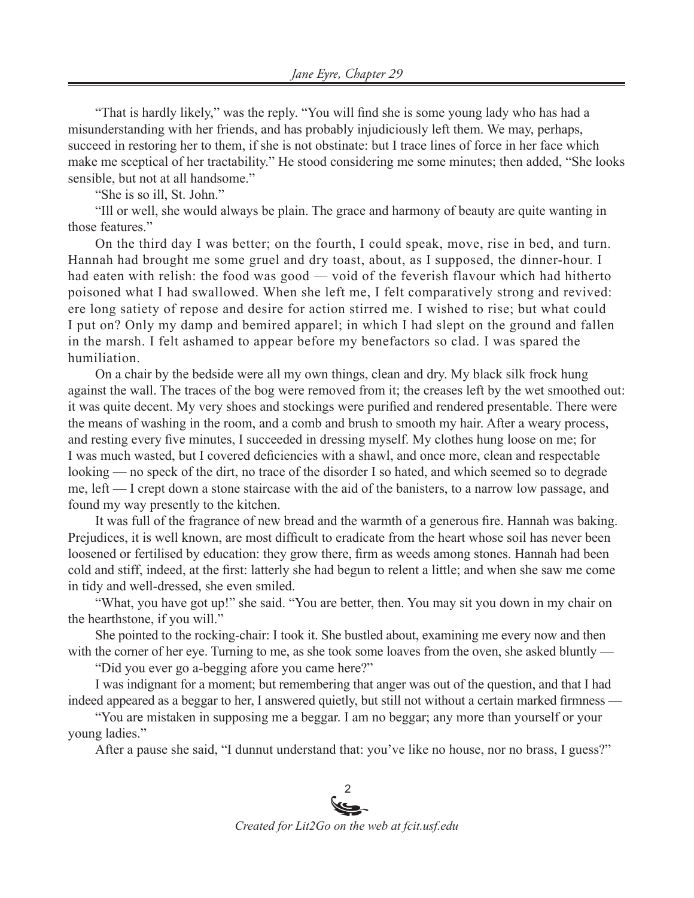"That is hardly likely," was the reply. "You will find she is some young lady who has had a misunderstanding with her friends, and has probably injudiciously left them. We may, perhaps, succeed in restoring her to them, if she is not obstinate: but I trace lines of force in her face which make me sceptical of her tractability." He stood considering me some minutes; then added, "She looks sensible, but not at all handsome."

"She is so ill, St. John."

"Ill or well, she would always be plain. The grace and harmony of beauty are quite wanting in those features."

On the third day I was better; on the fourth, I could speak, move, rise in bed, and turn. Hannah had brought me some gruel and dry toast, about, as I supposed, the dinner-hour. I had eaten with relish: the food was good — void of the feverish flavour which had hitherto poisoned what I had swallowed. When she left me, I felt comparatively strong and revived: ere long satiety of repose and desire for action stirred me. I wished to rise; but what could I put on? Only my damp and bemired apparel; in which I had slept on the ground and fallen in the marsh. I felt ashamed to appear before my benefactors so clad. I was spared the humiliation.

On a chair by the bedside were all my own things, clean and dry. My black silk frock hung against the wall. The traces of the bog were removed from it; the creases left by the wet smoothed out: it was quite decent. My very shoes and stockings were purified and rendered presentable. There were the means of washing in the room, and a comb and brush to smooth my hair. After a weary process, and resting every five minutes, I succeeded in dressing myself. My clothes hung loose on me; for I was much wasted, but I covered deficiencies with a shawl, and once more, clean and respectable looking — no speck of the dirt, no trace of the disorder I so hated, and which seemed so to degrade me, left — I crept down a stone staircase with the aid of the banisters, to a narrow low passage, and found my way presently to the kitchen.

It was full of the fragrance of new bread and the warmth of a generous fire. Hannah was baking. Prejudices, it is well known, are most difficult to eradicate from the heart whose soil has never been loosened or fertilised by education: they grow there, firm as weeds among stones. Hannah had been cold and stiff, indeed, at the first: latterly she had begun to relent a little; and when she saw me come in tidy and well-dressed, she even smiled.

"What, you have got up!" she said. "You are better, then. You may sit you down in my chair on the hearthstone, if you will."

She pointed to the rocking-chair: I took it. She bustled about, examining me every now and then with the corner of her eye. Turning to me, as she took some loaves from the oven, she asked bluntly —

"Did you ever go a-begging afore you came here?"

I was indignant for a moment; but remembering that anger was out of the question, and that I had indeed appeared as a beggar to her, I answered quietly, but still not without a certain marked firmness —

"You are mistaken in supposing me a beggar. I am no beggar; any more than yourself or your young ladies."

After a pause she said, "I dunnut understand that: you've like no house, nor no brass, I guess?"

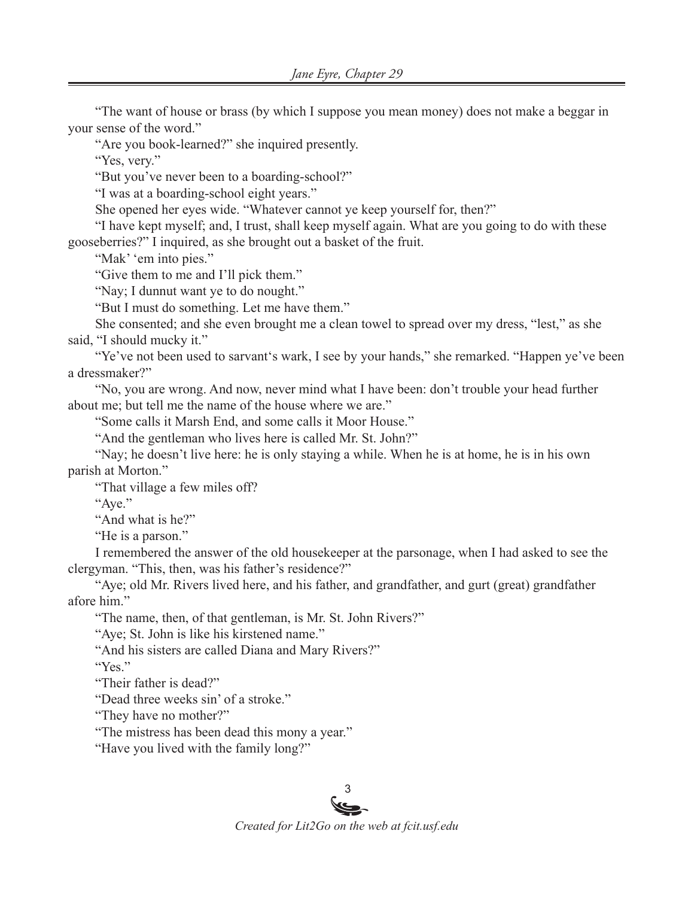"The want of house or brass (by which I suppose you mean money) does not make a beggar in your sense of the word."

"Are you book-learned?" she inquired presently.

"Yes, very."

"But you've never been to a boarding-school?"

"I was at a boarding-school eight years."

She opened her eyes wide. "Whatever cannot ye keep yourself for, then?"

"I have kept myself; and, I trust, shall keep myself again. What are you going to do with these gooseberries?" I inquired, as she brought out a basket of the fruit.

"Mak' 'em into pies."

"Give them to me and I'll pick them."

"Nay; I dunnut want ye to do nought."

"But I must do something. Let me have them."

She consented; and she even brought me a clean towel to spread over my dress, "lest," as she said, "I should mucky it."

"Ye've not been used to sarvant's wark, I see by your hands," she remarked. "Happen ye've been a dressmaker?"

"No, you are wrong. And now, never mind what I have been: don't trouble your head further about me; but tell me the name of the house where we are."

"Some calls it Marsh End, and some calls it Moor House."

"And the gentleman who lives here is called Mr. St. John?"

"Nay; he doesn't live here: he is only staying a while. When he is at home, he is in his own parish at Morton."

"That village a few miles off?

"Aye."

"And what is he?"

"He is a parson."

I remembered the answer of the old housekeeper at the parsonage, when I had asked to see the clergyman. "This, then, was his father's residence?"

"Aye; old Mr. Rivers lived here, and his father, and grandfather, and gurt (great) grandfather afore him"

"The name, then, of that gentleman, is Mr. St. John Rivers?"

"Aye; St. John is like his kirstened name."

"And his sisters are called Diana and Mary Rivers?"

"Yes."

"Their father is dead?"

"Dead three weeks sin' of a stroke."

"They have no mother?"

"The mistress has been dead this mony a year."

"Have you lived with the family long?"

## 3

*Created for Lit2Go on the web at fcit.usf.edu*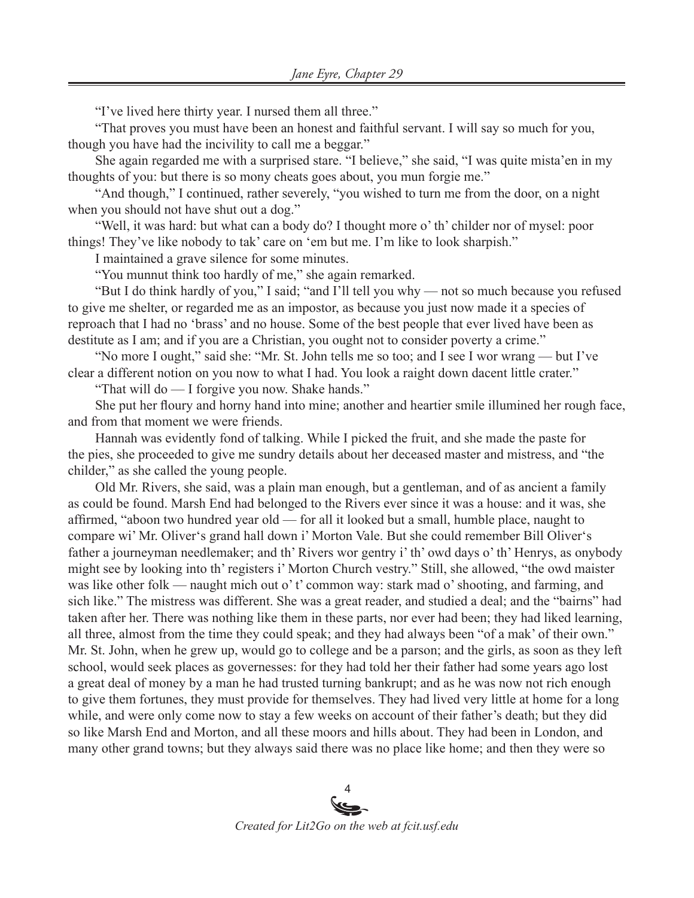"I've lived here thirty year. I nursed them all three."

"That proves you must have been an honest and faithful servant. I will say so much for you, though you have had the incivility to call me a beggar."

She again regarded me with a surprised stare. "I believe," she said, "I was quite mista'en in my thoughts of you: but there is so mony cheats goes about, you mun forgie me."

"And though," I continued, rather severely, "you wished to turn me from the door, on a night when you should not have shut out a dog."

"Well, it was hard: but what can a body do? I thought more o' th' childer nor of mysel: poor things! They've like nobody to tak' care on 'em but me. I'm like to look sharpish."

I maintained a grave silence for some minutes.

"You munnut think too hardly of me," she again remarked.

"But I do think hardly of you," I said; "and I'll tell you why — not so much because you refused to give me shelter, or regarded me as an impostor, as because you just now made it a species of reproach that I had no 'brass' and no house. Some of the best people that ever lived have been as destitute as I am; and if you are a Christian, you ought not to consider poverty a crime."

"No more I ought," said she: "Mr. St. John tells me so too; and I see I wor wrang — but I've clear a different notion on you now to what I had. You look a raight down dacent little crater."

"That will do — I forgive you now. Shake hands."

She put her floury and horny hand into mine; another and heartier smile illumined her rough face, and from that moment we were friends.

Hannah was evidently fond of talking. While I picked the fruit, and she made the paste for the pies, she proceeded to give me sundry details about her deceased master and mistress, and "the childer," as she called the young people.

Old Mr. Rivers, she said, was a plain man enough, but a gentleman, and of as ancient a family as could be found. Marsh End had belonged to the Rivers ever since it was a house: and it was, she affirmed, "aboon two hundred year old — for all it looked but a small, humble place, naught to compare wi' Mr. Oliver's grand hall down i' Morton Vale. But she could remember Bill Oliver's father a journeyman needlemaker; and th' Rivers wor gentry i' th' owd days o' th' Henrys, as onybody might see by looking into th' registers i' Morton Church vestry." Still, she allowed, "the owd maister was like other folk — naught mich out o' t' common way: stark mad o' shooting, and farming, and sich like." The mistress was different. She was a great reader, and studied a deal; and the "bairns" had taken after her. There was nothing like them in these parts, nor ever had been; they had liked learning, all three, almost from the time they could speak; and they had always been "of a mak' of their own." Mr. St. John, when he grew up, would go to college and be a parson; and the girls, as soon as they left school, would seek places as governesses: for they had told her their father had some years ago lost a great deal of money by a man he had trusted turning bankrupt; and as he was now not rich enough to give them fortunes, they must provide for themselves. They had lived very little at home for a long while, and were only come now to stay a few weeks on account of their father's death; but they did so like Marsh End and Morton, and all these moors and hills about. They had been in London, and many other grand towns; but they always said there was no place like home; and then they were so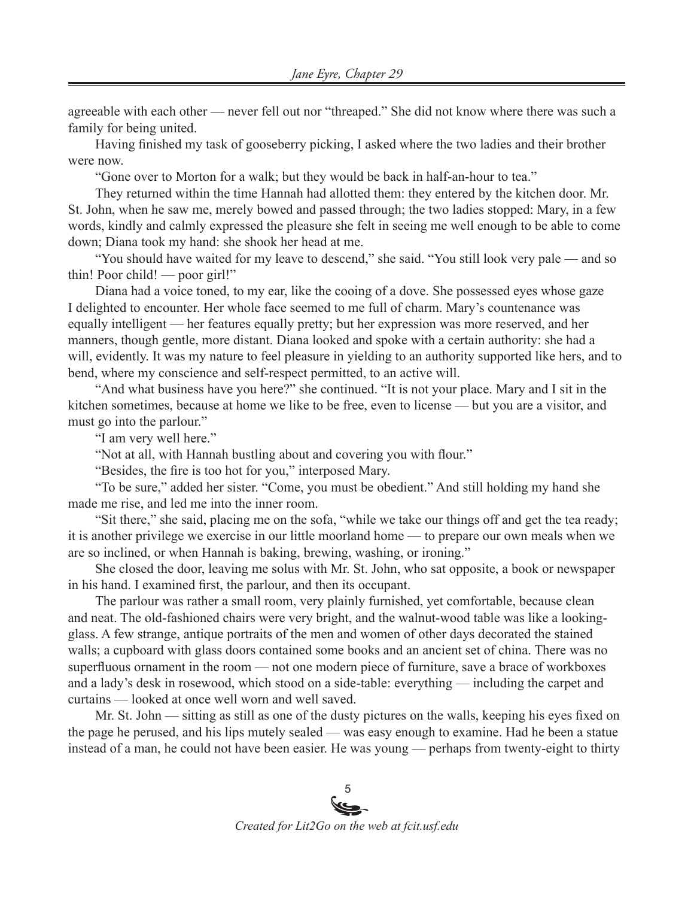agreeable with each other — never fell out nor "threaped." She did not know where there was such a family for being united.

Having finished my task of gooseberry picking, I asked where the two ladies and their brother were now.

"Gone over to Morton for a walk; but they would be back in half-an-hour to tea."

They returned within the time Hannah had allotted them: they entered by the kitchen door. Mr. St. John, when he saw me, merely bowed and passed through; the two ladies stopped: Mary, in a few words, kindly and calmly expressed the pleasure she felt in seeing me well enough to be able to come down; Diana took my hand: she shook her head at me.

"You should have waited for my leave to descend," she said. "You still look very pale — and so thin! Poor child! — poor girl!"

Diana had a voice toned, to my ear, like the cooing of a dove. She possessed eyes whose gaze I delighted to encounter. Her whole face seemed to me full of charm. Mary's countenance was equally intelligent — her features equally pretty; but her expression was more reserved, and her manners, though gentle, more distant. Diana looked and spoke with a certain authority: she had a will, evidently. It was my nature to feel pleasure in yielding to an authority supported like hers, and to bend, where my conscience and self-respect permitted, to an active will.

"And what business have you here?" she continued. "It is not your place. Mary and I sit in the kitchen sometimes, because at home we like to be free, even to license — but you are a visitor, and must go into the parlour."

"I am very well here."

"Not at all, with Hannah bustling about and covering you with flour."

"Besides, the fire is too hot for you," interposed Mary.

"To be sure," added her sister. "Come, you must be obedient." And still holding my hand she made me rise, and led me into the inner room.

"Sit there," she said, placing me on the sofa, "while we take our things off and get the tea ready; it is another privilege we exercise in our little moorland home — to prepare our own meals when we are so inclined, or when Hannah is baking, brewing, washing, or ironing."

She closed the door, leaving me solus with Mr. St. John, who sat opposite, a book or newspaper in his hand. I examined first, the parlour, and then its occupant.

The parlour was rather a small room, very plainly furnished, yet comfortable, because clean and neat. The old-fashioned chairs were very bright, and the walnut-wood table was like a lookingglass. A few strange, antique portraits of the men and women of other days decorated the stained walls; a cupboard with glass doors contained some books and an ancient set of china. There was no superfluous ornament in the room — not one modern piece of furniture, save a brace of workboxes and a lady's desk in rosewood, which stood on a side-table: everything — including the carpet and curtains — looked at once well worn and well saved.

Mr. St. John — sitting as still as one of the dusty pictures on the walls, keeping his eyes fixed on the page he perused, and his lips mutely sealed — was easy enough to examine. Had he been a statue instead of a man, he could not have been easier. He was young — perhaps from twenty-eight to thirty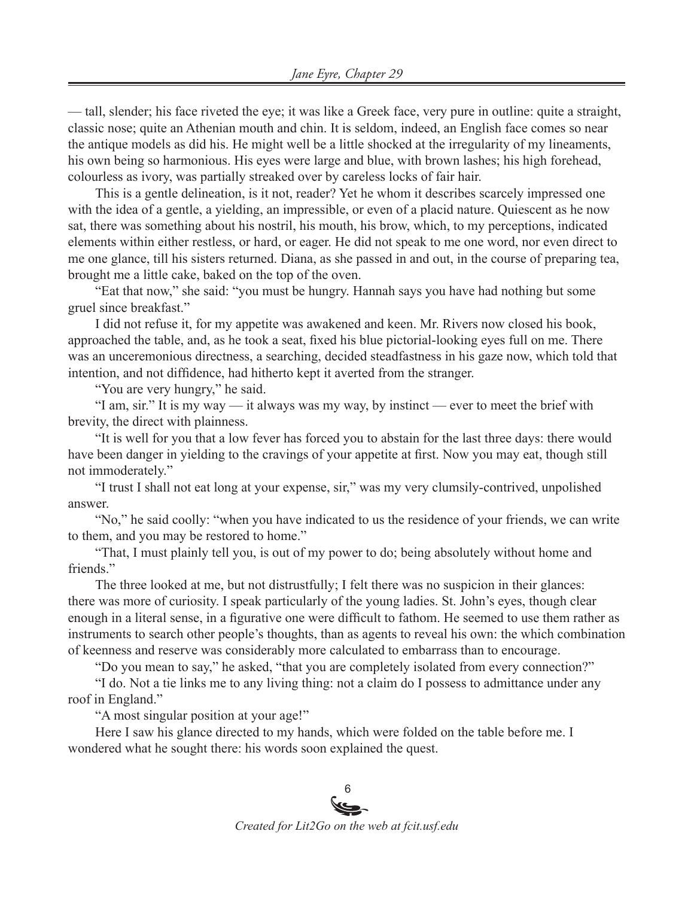— tall, slender; his face riveted the eye; it was like a Greek face, very pure in outline: quite a straight, classic nose; quite an Athenian mouth and chin. It is seldom, indeed, an English face comes so near the antique models as did his. He might well be a little shocked at the irregularity of my lineaments, his own being so harmonious. His eyes were large and blue, with brown lashes; his high forehead, colourless as ivory, was partially streaked over by careless locks of fair hair.

This is a gentle delineation, is it not, reader? Yet he whom it describes scarcely impressed one with the idea of a gentle, a yielding, an impressible, or even of a placid nature. Quiescent as he now sat, there was something about his nostril, his mouth, his brow, which, to my perceptions, indicated elements within either restless, or hard, or eager. He did not speak to me one word, nor even direct to me one glance, till his sisters returned. Diana, as she passed in and out, in the course of preparing tea, brought me a little cake, baked on the top of the oven.

"Eat that now," she said: "you must be hungry. Hannah says you have had nothing but some gruel since breakfast."

I did not refuse it, for my appetite was awakened and keen. Mr. Rivers now closed his book, approached the table, and, as he took a seat, fixed his blue pictorial-looking eyes full on me. There was an unceremonious directness, a searching, decided steadfastness in his gaze now, which told that intention, and not diffidence, had hitherto kept it averted from the stranger.

"You are very hungry," he said.

"I am, sir." It is my way — it always was my way, by instinct — ever to meet the brief with brevity, the direct with plainness.

"It is well for you that a low fever has forced you to abstain for the last three days: there would have been danger in yielding to the cravings of your appetite at first. Now you may eat, though still not immoderately."

"I trust I shall not eat long at your expense, sir," was my very clumsily-contrived, unpolished answer.

"No," he said coolly: "when you have indicated to us the residence of your friends, we can write to them, and you may be restored to home."

"That, I must plainly tell you, is out of my power to do; being absolutely without home and friends."

The three looked at me, but not distrustfully; I felt there was no suspicion in their glances: there was more of curiosity. I speak particularly of the young ladies. St. John's eyes, though clear enough in a literal sense, in a figurative one were difficult to fathom. He seemed to use them rather as instruments to search other people's thoughts, than as agents to reveal his own: the which combination of keenness and reserve was considerably more calculated to embarrass than to encourage.

"Do you mean to say," he asked, "that you are completely isolated from every connection?"

"I do. Not a tie links me to any living thing: not a claim do I possess to admittance under any roof in England."

"A most singular position at your age!"

Here I saw his glance directed to my hands, which were folded on the table before me. I wondered what he sought there: his words soon explained the quest.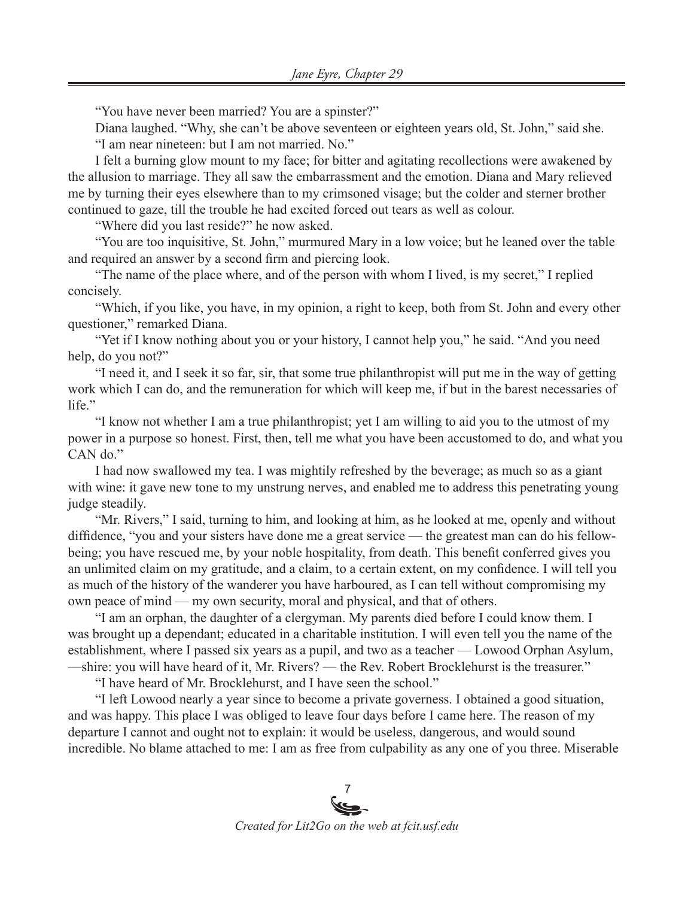"You have never been married? You are a spinster?"

Diana laughed. "Why, she can't be above seventeen or eighteen years old, St. John," said she. "I am near nineteen: but I am not married. No."

I felt a burning glow mount to my face; for bitter and agitating recollections were awakened by the allusion to marriage. They all saw the embarrassment and the emotion. Diana and Mary relieved me by turning their eyes elsewhere than to my crimsoned visage; but the colder and sterner brother continued to gaze, till the trouble he had excited forced out tears as well as colour.

"Where did you last reside?" he now asked.

"You are too inquisitive, St. John," murmured Mary in a low voice; but he leaned over the table and required an answer by a second firm and piercing look.

"The name of the place where, and of the person with whom I lived, is my secret," I replied concisely.

"Which, if you like, you have, in my opinion, a right to keep, both from St. John and every other questioner," remarked Diana.

"Yet if I know nothing about you or your history, I cannot help you," he said. "And you need help, do you not?"

"I need it, and I seek it so far, sir, that some true philanthropist will put me in the way of getting work which I can do, and the remuneration for which will keep me, if but in the barest necessaries of life."

"I know not whether I am a true philanthropist; yet I am willing to aid you to the utmost of my power in a purpose so honest. First, then, tell me what you have been accustomed to do, and what you CAN do."

I had now swallowed my tea. I was mightily refreshed by the beverage; as much so as a giant with wine: it gave new tone to my unstrung nerves, and enabled me to address this penetrating young judge steadily.

"Mr. Rivers," I said, turning to him, and looking at him, as he looked at me, openly and without diffidence, "you and your sisters have done me a great service — the greatest man can do his fellowbeing; you have rescued me, by your noble hospitality, from death. This benefit conferred gives you an unlimited claim on my gratitude, and a claim, to a certain extent, on my confidence. I will tell you as much of the history of the wanderer you have harboured, as I can tell without compromising my own peace of mind — my own security, moral and physical, and that of others.

"I am an orphan, the daughter of a clergyman. My parents died before I could know them. I was brought up a dependant; educated in a charitable institution. I will even tell you the name of the establishment, where I passed six years as a pupil, and two as a teacher — Lowood Orphan Asylum, —shire: you will have heard of it, Mr. Rivers? — the Rev. Robert Brocklehurst is the treasurer."

"I have heard of Mr. Brocklehurst, and I have seen the school."

"I left Lowood nearly a year since to become a private governess. I obtained a good situation, and was happy. This place I was obliged to leave four days before I came here. The reason of my departure I cannot and ought not to explain: it would be useless, dangerous, and would sound incredible. No blame attached to me: I am as free from culpability as any one of you three. Miserable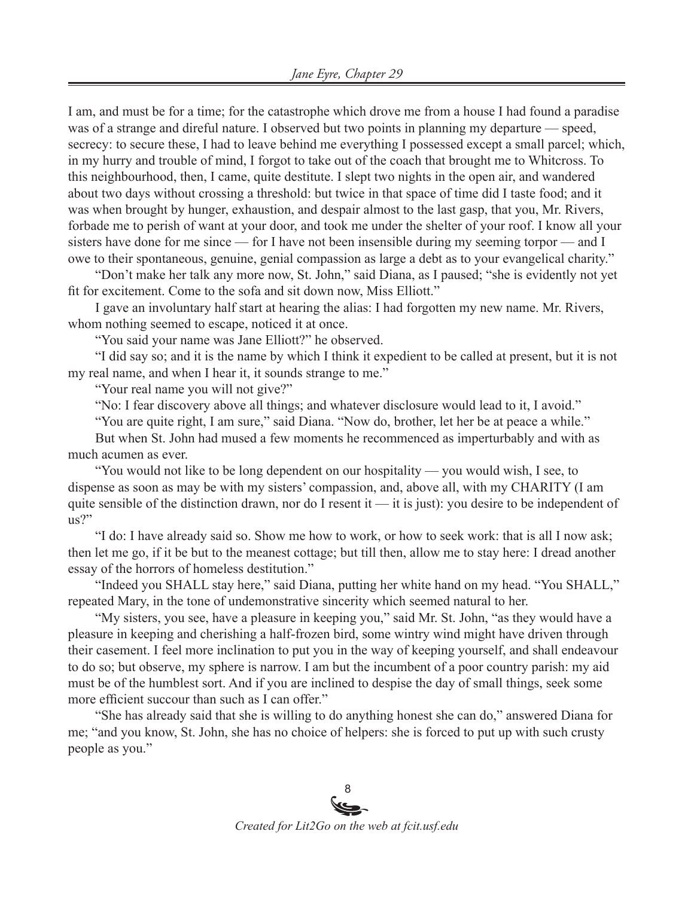I am, and must be for a time; for the catastrophe which drove me from a house I had found a paradise was of a strange and direful nature. I observed but two points in planning my departure — speed, secrecy: to secure these, I had to leave behind me everything I possessed except a small parcel; which, in my hurry and trouble of mind, I forgot to take out of the coach that brought me to Whitcross. To this neighbourhood, then, I came, quite destitute. I slept two nights in the open air, and wandered about two days without crossing a threshold: but twice in that space of time did I taste food; and it was when brought by hunger, exhaustion, and despair almost to the last gasp, that you, Mr. Rivers, forbade me to perish of want at your door, and took me under the shelter of your roof. I know all your sisters have done for me since — for I have not been insensible during my seeming torpor — and I owe to their spontaneous, genuine, genial compassion as large a debt as to your evangelical charity."

"Don't make her talk any more now, St. John," said Diana, as I paused; "she is evidently not yet fit for excitement. Come to the sofa and sit down now, Miss Elliott."

I gave an involuntary half start at hearing the alias: I had forgotten my new name. Mr. Rivers, whom nothing seemed to escape, noticed it at once.

"You said your name was Jane Elliott?" he observed.

"I did say so; and it is the name by which I think it expedient to be called at present, but it is not my real name, and when I hear it, it sounds strange to me."

"Your real name you will not give?"

"No: I fear discovery above all things; and whatever disclosure would lead to it, I avoid."

"You are quite right, I am sure," said Diana. "Now do, brother, let her be at peace a while." But when St. John had mused a few moments he recommenced as imperturbably and with as

much acumen as ever.

"You would not like to be long dependent on our hospitality — you would wish, I see, to dispense as soon as may be with my sisters' compassion, and, above all, with my CHARITY (I am quite sensible of the distinction drawn, nor do I resent it — it is just): you desire to be independent of us?"

"I do: I have already said so. Show me how to work, or how to seek work: that is all I now ask; then let me go, if it be but to the meanest cottage; but till then, allow me to stay here: I dread another essay of the horrors of homeless destitution."

"Indeed you SHALL stay here," said Diana, putting her white hand on my head. "You SHALL," repeated Mary, in the tone of undemonstrative sincerity which seemed natural to her.

"My sisters, you see, have a pleasure in keeping you," said Mr. St. John, "as they would have a pleasure in keeping and cherishing a half-frozen bird, some wintry wind might have driven through their casement. I feel more inclination to put you in the way of keeping yourself, and shall endeavour to do so; but observe, my sphere is narrow. I am but the incumbent of a poor country parish: my aid must be of the humblest sort. And if you are inclined to despise the day of small things, seek some more efficient succour than such as I can offer."

"She has already said that she is willing to do anything honest she can do," answered Diana for me; "and you know, St. John, she has no choice of helpers: she is forced to put up with such crusty people as you."